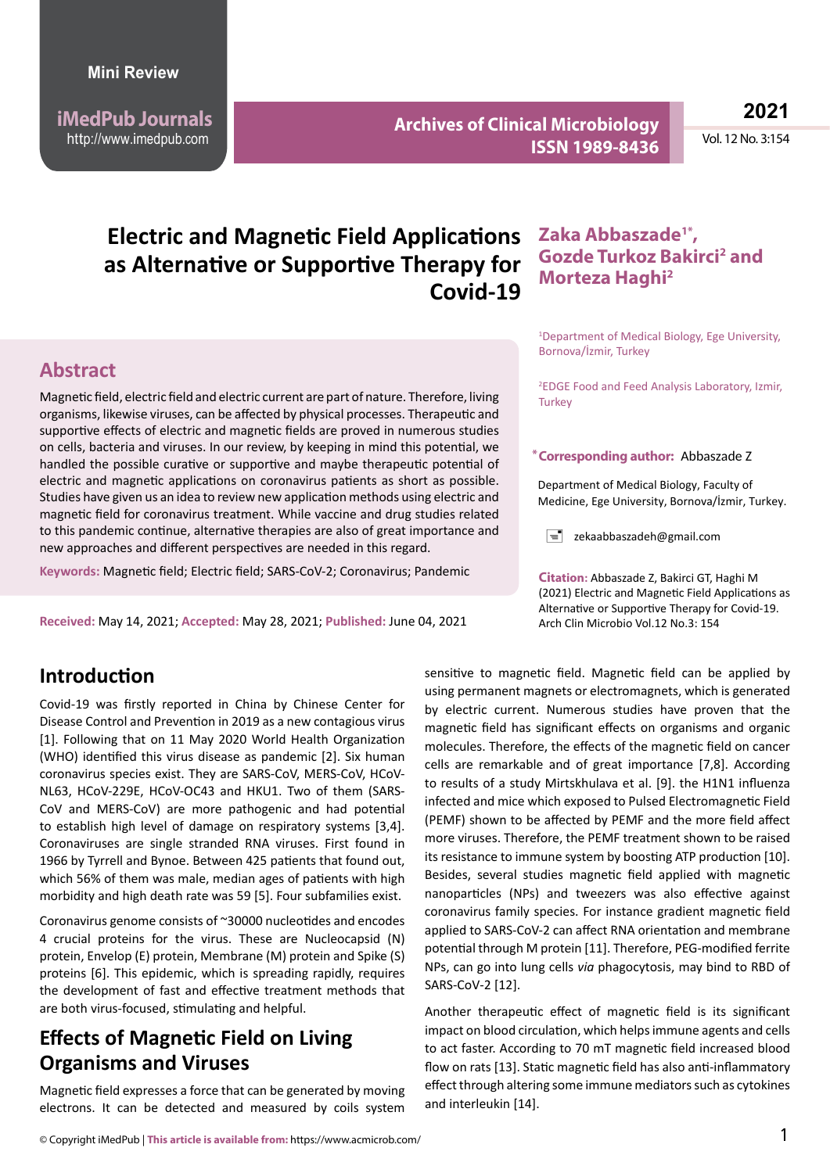**iMedPub Journals** http://www.imedpub.com

**Archives of Clinical Microbiology ISSN 1989-8436**

**2021**

Vol. 12 No. 3:154

# **Electric and Magnetic Field Applications as Alternative or Supportive Therapy for Covid-19**

#### **Abstract**

Magnetic field, electric field and electric current are part of nature. Therefore, living organisms, likewise viruses, can be affected by physical processes. Therapeutic and supportive effects of electric and magnetic fields are proved in numerous studies on cells, bacteria and viruses. In our review, by keeping in mind this potential, we handled the possible curative or supportive and maybe therapeutic potential of electric and magnetic applications on coronavirus patients as short as possible. Studies have given us an idea to review new application methods using electric and magnetic field for coronavirus treatment. While vaccine and drug studies related to this pandemic continue, alternative therapies are also of great importance and new approaches and different perspectives are needed in this regard.

**Keywords:** Magnetic field; Electric field; SARS-CoV-2; Coronavirus; Pandemic

**Received:** May 14, 2021; **Accepted:** May 28, 2021; **Published:** June 04, 2021

#### **Introduction**

Covid-19 was firstly reported in China by Chinese Center for Disease Control and Prevention in 2019 as a new contagious virus [1]. Following that on 11 May 2020 World Health Organization (WHO) identified this virus disease as pandemic [2]. Six human coronavirus species exist. They are SARS-CoV, MERS-CoV, HCoV-NL63, HCoV-229E, HCoV-OC43 and HKU1. Two of them (SARS-CoV and MERS-CoV) are more pathogenic and had potential to establish high level of damage on respiratory systems [3,4]. Coronaviruses are single stranded RNA viruses. First found in 1966 by Tyrrell and Bynoe. Between 425 patients that found out, which 56% of them was male, median ages of patients with high morbidity and high death rate was 59 [5]. Four subfamilies exist.

Coronavirus genome consists of ~30000 nucleotides and encodes 4 crucial proteins for the virus. These are Nucleocapsid (N) protein, Envelop (E) protein, Membrane (M) protein and Spike (S) proteins [6]. This epidemic, which is spreading rapidly, requires the development of fast and effective treatment methods that are both virus-focused, stimulating and helpful.

## **Effects of Magnetic Field on Living Organisms and Viruses**

Magnetic field expresses a force that can be generated by moving electrons. It can be detected and measured by coils system

### **Zaka Abbaszade , 1\*** Gozde Turkoz Bakirci<sup>2</sup> and **Morteza Haghi2**

1 Department of Medical Biology, Ege University, Bornova/İzmir, Turkey

2 EDGE Food and Feed Analysis Laboratory, Izmir, **Turkey** 

#### **Corresponding author: \*** Abbaszade Z

Department of Medical Biology, Faculty of Medicine, Ege University, Bornova/İzmir, Turkey.

 $\equiv$  zekaabbaszadeh@gmail.com

**Citation:** Abbaszade Z, Bakirci GT, Haghi M (2021) Electric and Magnetic Field Applications as Alternative or Supportive Therapy for Covid-19. Arch Clin Microbio Vol.12 No.3: 154

sensitive to magnetic field. Magnetic field can be applied by using permanent magnets or electromagnets, which is generated by electric current. Numerous studies have proven that the magnetic field has significant effects on organisms and organic molecules. Therefore, the effects of the magnetic field on cancer cells are remarkable and of great importance [7,8]. According to results of a study Mirtskhulava et al. [9]. the H1N1 influenza infected and mice which exposed to Pulsed Electromagnetic Field (PEMF) shown to be affected by PEMF and the more field affect more viruses. Therefore, the PEMF treatment shown to be raised its resistance to immune system by boosting ATP production [10]. Besides, several studies magnetic field applied with magnetic nanoparticles (NPs) and tweezers was also effective against coronavirus family species. For instance gradient magnetic field applied to SARS-CoV-2 can affect RNA orientation and membrane potential through M protein [11]. Therefore, PEG-modified ferrite NPs, can go into lung cells *via* phagocytosis, may bind to RBD of SARS-CoV-2 [12].

Another therapeutic effect of magnetic field is its significant impact on blood circulation, which helps immune agents and cells to act faster. According to 70 mT magnetic field increased blood flow on rats [13]. Static magnetic field has also anti-inflammatory effect through altering some immune mediators such as cytokines and interleukin [14].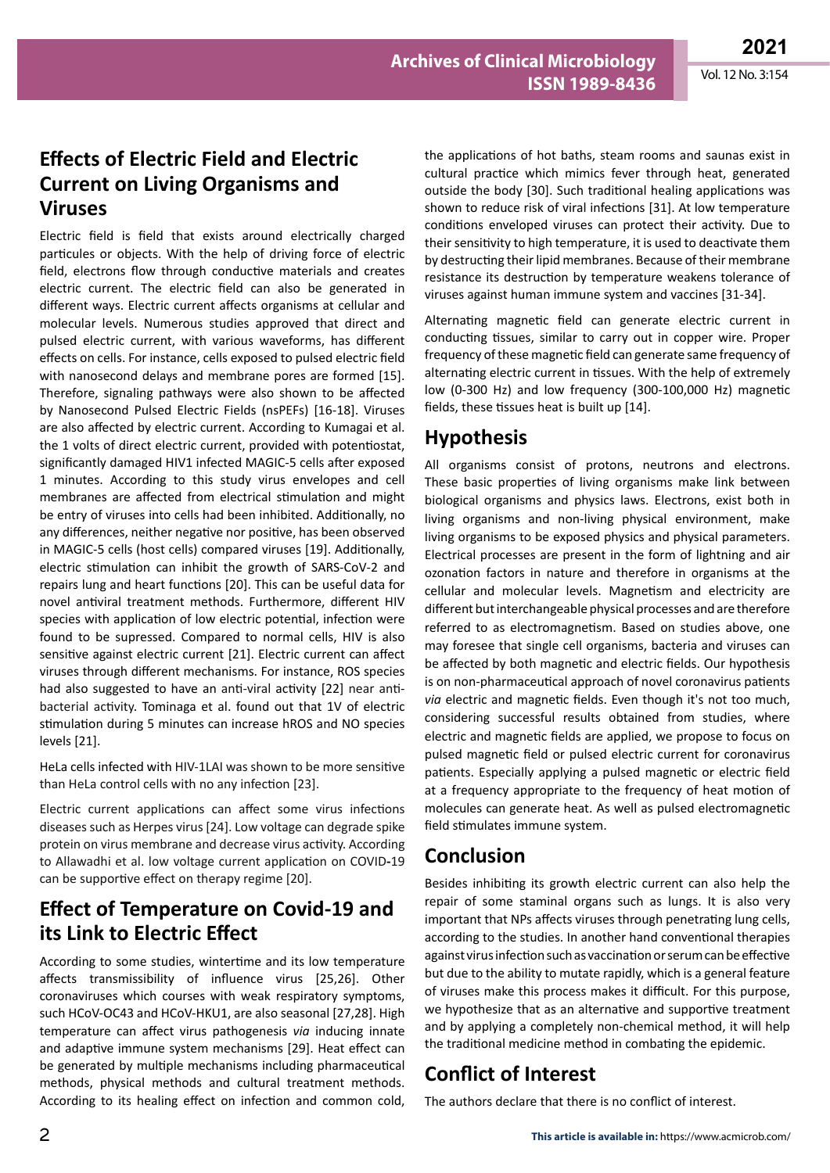## **Effects of Electric Field and Electric Current on Living Organisms and Viruses**

Electric field is field that exists around electrically charged particules or objects. With the help of driving force of electric field, electrons flow through conductive materials and creates electric current. The electric field can also be generated in different ways. Electric current affects organisms at cellular and molecular levels. Numerous studies approved that direct and pulsed electric current, with various waveforms, has different effects on cells. For instance, cells exposed to pulsed electric field with nanosecond delays and membrane pores are formed [15]. Therefore, signaling pathways were also shown to be affected by Nanosecond Pulsed Electric Fields (nsPEFs) [16-18]. Viruses are also affected by electric current. According to Kumagai et al. the 1 volts of direct electric current, provided with potentiostat, significantly damaged HIV1 infected MAGIC-5 cells after exposed 1 minutes. According to this study virus envelopes and cell membranes are affected from electrical stimulation and might be entry of viruses into cells had been inhibited. Additionally, no any differences, neither negative nor positive, has been observed in MAGIC-5 cells (host cells) compared viruses [19]. Additionally, electric stimulation can inhibit the growth of SARS-CoV-2 and repairs lung and heart functions [20]. This can be useful data for novel antiviral treatment methods. Furthermore, different HIV species with application of low electric potential, infection were found to be supressed. Compared to normal cells, HIV is also sensitive against electric current [21]. Electric current can affect viruses through different mechanisms. For instance, ROS species had also suggested to have an anti-viral activity [22] near antibacterial activity. Tominaga et al. found out that 1V of electric stimulation during 5 minutes can increase hROS and NO species levels [21].

HeLa cells infected with HIV-1LAI was shown to be more sensitive than HeLa control cells with no any infection [23].

Electric current applications can affect some virus infections diseases such as Herpes virus [24]. Low voltage can degrade spike protein on virus membrane and decrease virus activity. According to Allawadhi et al. low voltage current application on COVID**-**19 can be supportive effect on therapy regime [20].

## **Effect of Temperature on Covid-19 and its Link to Electric Effect**

According to some studies, wintertime and its low temperature affects transmissibility of influence virus [25,26]. Other coronaviruses which courses with weak respiratory symptoms, such HCoV-OC43 and HCoV-HKU1, are also seasonal [27,28]. High temperature can affect virus pathogenesis *via* inducing innate and adaptive immune system mechanisms [29]. Heat effect can be generated by multiple mechanisms including pharmaceutical methods, physical methods and cultural treatment methods. According to its healing effect on infection and common cold,

the applications of hot baths, steam rooms and saunas exist in cultural practice which mimics fever through heat, generated outside the body [30]. Such traditional healing applications was shown to reduce risk of viral infections [31]. At low temperature conditions enveloped viruses can protect their activity. Due to their sensitivity to high temperature, it is used to deactivate them by destructing their lipid membranes. Because of their membrane resistance its destruction by temperature weakens tolerance of viruses against human immune system and vaccines [31-34].

Alternating magnetic field can generate electric current in conducting tissues, similar to carry out in copper wire. Proper frequency of these magnetic field can generate same frequency of alternating electric current in tissues. With the help of extremely low (0-300 Hz) and low frequency (300-100,000 Hz) magnetic fields, these tissues heat is built up [14].

## **Hypothesis**

All organisms consist of protons, neutrons and electrons. These basic properties of living organisms make link between biological organisms and physics laws. Electrons, exist both in living organisms and non-living physical environment, make living organisms to be exposed physics and physical parameters. Electrical processes are present in the form of lightning and air ozonation factors in nature and therefore in organisms at the cellular and molecular levels. Magnetism and electricity are different but interchangeable physical processes and are therefore referred to as electromagnetism. Based on studies above, one may foresee that single cell organisms, bacteria and viruses can be affected by both magnetic and electric fields. Our hypothesis is on non-pharmaceutical approach of novel coronavirus patients *via* electric and magnetic fields. Even though it's not too much, considering successful results obtained from studies, where electric and magnetic fields are applied, we propose to focus on pulsed magnetic field or pulsed electric current for coronavirus patients. Especially applying a pulsed magnetic or electric field at a frequency appropriate to the frequency of heat motion of molecules can generate heat. As well as pulsed electromagnetic field stimulates immune system.

# **Conclusion**

Besides inhibiting its growth electric current can also help the repair of some staminal organs such as lungs. It is also very important that NPs affects viruses through penetrating lung cells, according to the studies. In another hand conventional therapies against virus infection such as vaccination or serum can be effective but due to the ability to mutate rapidly, which is a general feature of viruses make this process makes it difficult. For this purpose, we hypothesize that as an alternative and supportive treatment and by applying a completely non-chemical method, it will help the traditional medicine method in combating the epidemic.

# **Conflict of Interest**

The authors declare that there is no conflict of interest.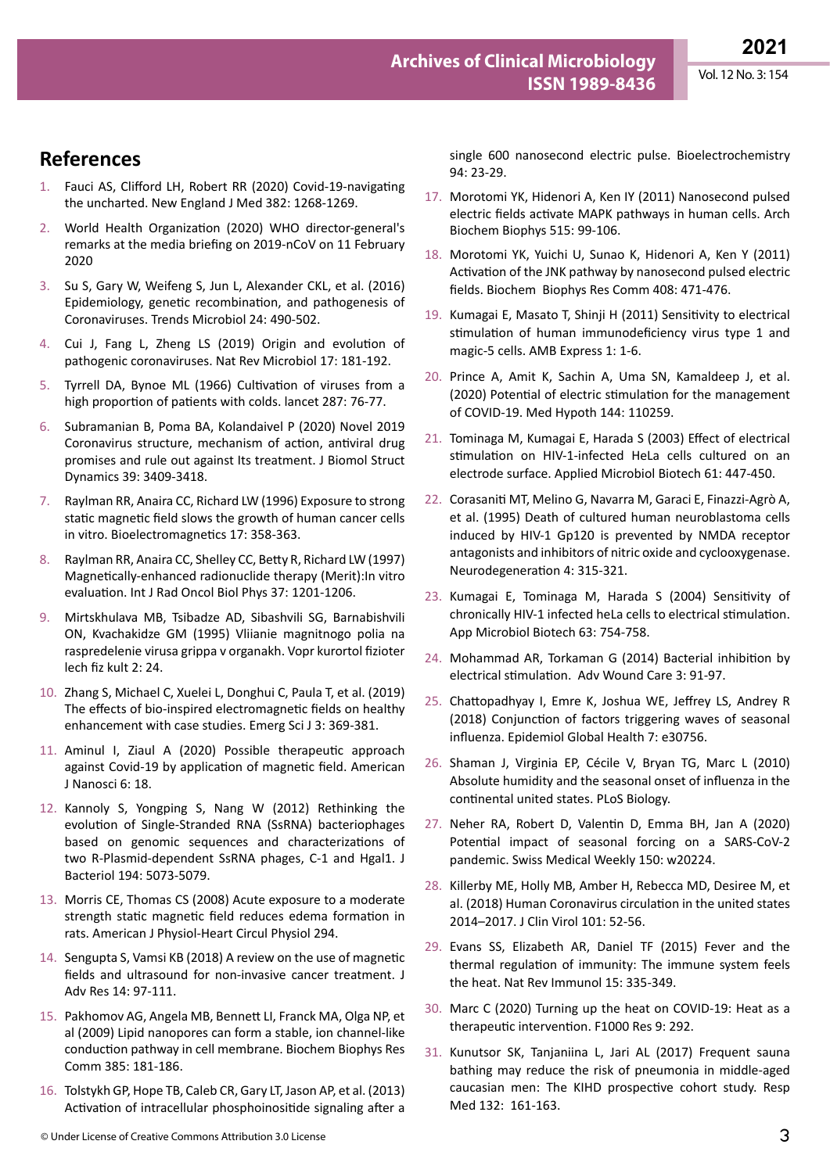### **References**

- 1. [Fauci AS, Clifford LH, Robert RR \(2020\) Covid-19-navigating](https://doi.org/10.1056/nejme2002387)  [the uncharted. New England J Med 382: 1268-1269.](https://doi.org/10.1056/nejme2002387)
- 2. [World Health Organization \(2020\)](https://www.who.int/director-general/speeches/detail/who-director-general-s-remarks-at-the-media-briefing-on-2019-ncov-on-11-february-2020) WHO director-general's [remarks at the media briefing on 2019-nCoV on 11 February](https://www.who.int/director-general/speeches/detail/who-director-general-s-remarks-at-the-media-briefing-on-2019-ncov-on-11-february-2020)  [2020](https://www.who.int/director-general/speeches/detail/who-director-general-s-remarks-at-the-media-briefing-on-2019-ncov-on-11-february-2020)
- 3. [Su S, Gary W, Weifeng S, Jun L, Alexander CKL, et al. \(2016\)](https://doi.org/10.1016/j.tim.2016.03.003)  [Epidemiology, genetic recombination, and pathogenesis of](https://doi.org/10.1016/j.tim.2016.03.003)  [Coronaviruses. Trends Microbiol 24: 490-502](https://doi.org/10.1016/j.tim.2016.03.003).
- 4. [Cui J, Fang L, Zheng LS \(2019\) Origin and evolution of](https://doi.org/10.1038/s41579-018-0118-9)  [pathogenic coronaviruses. Nat Rev Microbiol 17: 181-192.](https://doi.org/10.1038/s41579-018-0118-9)
- 5. [Tyrrell DA, Bynoe ML \(1966\) Cultivation of viruses from a](https://doi.org/10.1016/s0140-6736(66)92364-6)  [high proportion of patients with colds. lancet 287: 76-77.](https://doi.org/10.1016/s0140-6736(66)92364-6)
- 6. [Subramanian B, Poma BA, Kolandaivel P \(2020\) Novel 2019](https://doi.org/10.1080/07391102.2020.1758788)  [Coronavirus structure, mechanism of action, antiviral drug](https://doi.org/10.1080/07391102.2020.1758788)  [promises and rule out against Its treatment. J Biomol Struct](https://doi.org/10.1080/07391102.2020.1758788)  [Dynamics 39: 3409-3418.](https://doi.org/10.1080/07391102.2020.1758788)
- 7. [Raylman RR, Anaira CC, Richard LW \(1996\) Exposure to strong](https://deepblue.lib.umich.edu/bitstream/handle/2027.42/38293/?sequence=1#:~:text=Pulsed%2Dfield electrophoresis analysis revealed,tumor cell lines in vitro.)  [static magnetic field slows the growth of human cancer cells](https://deepblue.lib.umich.edu/bitstream/handle/2027.42/38293/?sequence=1#:~:text=Pulsed%2Dfield electrophoresis analysis revealed,tumor cell lines in vitro.)  [in vitro. Bioelectromagnetics 17: 358-363.](https://deepblue.lib.umich.edu/bitstream/handle/2027.42/38293/?sequence=1#:~:text=Pulsed%2Dfield electrophoresis analysis revealed,tumor cell lines in vitro.)
- 8. [Raylman RR, Anaira CC, Shelley CC, Betty R, Richard LW \(1997\)](https://doi.org/10.1016/S0360-3016(96)00616-5)  [Magnetically-enhanced radionuclide therapy \(Merit\):In vitro](https://doi.org/10.1016/S0360-3016(96)00616-5)  [evaluation. Int J Rad Oncol Biol Phys 37: 1201-1206.](https://doi.org/10.1016/S0360-3016(96)00616-5)
- 9. [Mirtskhulava MB, Tsibadze AD, Sibashvili SG, Barnabishvili](https://pubmed.ncbi.nlm.nih.gov/7660619/)  [ON, Kvachakidze GM \(1995\) Vliianie magnitnogo polia na](https://pubmed.ncbi.nlm.nih.gov/7660619/)  [raspredelenie virusa grippa v organakh. Vopr kurortol fizioter](https://pubmed.ncbi.nlm.nih.gov/7660619/)  [lech fiz kult 2: 24.](https://pubmed.ncbi.nlm.nih.gov/7660619/)
- 10. [Zhang S, Michael C, Xuelei L, Donghui C, Paula T, et al. \(2019\)](https://doi.org/10.28991/esj-2019-01199)  [The effects of bio-inspired electromagnetic fields on healthy](https://doi.org/10.28991/esj-2019-01199)  [enhancement with case studies. Emerg Sci J 3: 369-381](https://doi.org/10.28991/esj-2019-01199).
- 11. [Aminul I, Ziaul A \(2020\) Possible therapeutic approach](https://doi.org/10.11648/j.ajn.20200603.11)  [against Covid-19 by application of magnetic field. American](https://doi.org/10.11648/j.ajn.20200603.11)  [J Nanosci 6: 18.](https://doi.org/10.11648/j.ajn.20200603.11)
- 12. [Kannoly S, Yongping S, Nang W \(2012\) Rethinking the](https://doi.org/10.1128/JB.00929-12)  [evolution of Single-Stranded RNA \(SsRNA\) bacteriophages](https://doi.org/10.1128/JB.00929-12)  [based on genomic sequences and characterizations of](https://doi.org/10.1128/JB.00929-12)  two R-Plasmid-dependent SsRNA phages, C-1 and Hgal1. J [Bacteriol 194: 5073-5079](https://doi.org/10.1128/JB.00929-12).
- 13. [Morris CE, Thomas CS \(2008\) Acute exposure to a moderate](https://doi.org/10.1152/ajpheart.00529.2007)  [strength static magnetic field reduces edema formation in](https://doi.org/10.1152/ajpheart.00529.2007)  [rats. American J Physiol-Heart Circul Physiol 294](https://doi.org/10.1152/ajpheart.00529.2007).
- 14. [Sengupta S, Vamsi KB \(2018\) A review on the use of magnetic](https://cell2n.co.uk/wp-content/uploads/2020/07/A-review-on-the-use-of-magnetic-fields-and-ultrasound-for-non-invasive-cancer-treatment.pdf)  [fields and ultrasound for non-invasive cancer treatment. J](https://cell2n.co.uk/wp-content/uploads/2020/07/A-review-on-the-use-of-magnetic-fields-and-ultrasound-for-non-invasive-cancer-treatment.pdf)  [Adv Res 14: 97-111.](https://cell2n.co.uk/wp-content/uploads/2020/07/A-review-on-the-use-of-magnetic-fields-and-ultrasound-for-non-invasive-cancer-treatment.pdf)
- 15. [Pakhomov AG, Angela MB, Bennett LI, Franck MA, Olga NP, et](https://www.researchgate.net/publication/223159832_Lipid_Nanopores_Can_Form_a_Stable_Ion_Channel-Like_Conduction_Pathway_in_Cell_Membrane)  [al \(2009\) Lipid nanopores can form a stable, ion channel-like](https://www.researchgate.net/publication/223159832_Lipid_Nanopores_Can_Form_a_Stable_Ion_Channel-Like_Conduction_Pathway_in_Cell_Membrane)  [conduction pathway in cell membrane. Biochem Biophys Res](https://www.researchgate.net/publication/223159832_Lipid_Nanopores_Can_Form_a_Stable_Ion_Channel-Like_Conduction_Pathway_in_Cell_Membrane)  [Comm 385: 181-186.](https://www.researchgate.net/publication/223159832_Lipid_Nanopores_Can_Form_a_Stable_Ion_Channel-Like_Conduction_Pathway_in_Cell_Membrane)
- 16. [Tolstykh GP, Hope TB, Caleb CR, Gary LT, Jason AP, et al. \(2013\)](https://www.researchgate.net/publication/237083689_Activation_of_intracellular_phosphoinositide_signaling_after_a_single_600_nanosecond_electric_pulse)  [Activation of intracellular phosphoinositide signaling after a](https://www.researchgate.net/publication/237083689_Activation_of_intracellular_phosphoinositide_signaling_after_a_single_600_nanosecond_electric_pulse)

[single 600 nanosecond electric pulse. Bioelectrochemistry](https://www.researchgate.net/publication/237083689_Activation_of_intracellular_phosphoinositide_signaling_after_a_single_600_nanosecond_electric_pulse)  [94: 23-29.](https://www.researchgate.net/publication/237083689_Activation_of_intracellular_phosphoinositide_signaling_after_a_single_600_nanosecond_electric_pulse)

- 17. [Morotomi YK, Hidenori A, Ken IY \(2011\) Nanosecond pulsed](https://www.semanticscholar.org/paper/Nanosecond-pulsed-electric-fields-activate-MAPK-in-Morotomi-Yano-Akiyama/b5f1e7e5db9f2e2c1fece1221661e5d33c6e8c33)  [electric fields activate MAPK pathways in human cells. Arch](https://www.semanticscholar.org/paper/Nanosecond-pulsed-electric-fields-activate-MAPK-in-Morotomi-Yano-Akiyama/b5f1e7e5db9f2e2c1fece1221661e5d33c6e8c33)  [Biochem Biophys 515: 99-106.](https://www.semanticscholar.org/paper/Nanosecond-pulsed-electric-fields-activate-MAPK-in-Morotomi-Yano-Akiyama/b5f1e7e5db9f2e2c1fece1221661e5d33c6e8c33)
- 18. [Morotomi YK, Yuichi U, Sunao K, Hidenori A, Ken Y \(2011\)](https://www.researchgate.net/publication/51078462_Activation_of_the_JNK_pathway_by_nanosecond_pulsed_electric_fields)  [Activation of the JNK pathway by nanosecond pulsed electric](https://www.researchgate.net/publication/51078462_Activation_of_the_JNK_pathway_by_nanosecond_pulsed_electric_fields)  [fields. Biochem Biophys Res Comm 408: 471-476.](https://www.researchgate.net/publication/51078462_Activation_of_the_JNK_pathway_by_nanosecond_pulsed_electric_fields)
- 19. [Kumagai E, Masato T, Shinji H \(2011\) Sensitivity to electrical](https://doi.org/10.1186/2191-0855-1-23)  [stimulation of human immunodeficiency virus type 1 and](https://doi.org/10.1186/2191-0855-1-23)  [magic-5 cells. AMB Express 1: 1-6.](https://doi.org/10.1186/2191-0855-1-23)
- 20. Prince A, Amit K, Sachin A, Uma SN, Kamaldeep J, et al. (2020) Potential of electric stimulation for the management of COVID-19. Med Hypoth 144: 110259.
- 21. [Tominaga M, Kumagai E, Harada S \(2003\) Effect of electrical](https://doi.org/10.1007/s00253-003-1225-7)  [stimulation on HIV-1-infected HeLa cells cultured on an](https://doi.org/10.1007/s00253-003-1225-7)  [electrode surface. Applied Microbiol Biotech 61: 447-450.](https://doi.org/10.1007/s00253-003-1225-7)
- 22. Corasaniti MT, Melino G, Navarra M, Garaci E, Finazzi-Agrò A, et al. (1995) Death of cultured human neuroblastoma cells induced by HIV-1 Gp120 is prevented by NMDA receptor antagonists and inhibitors of nitric oxide and cyclooxygenase. Neurodegeneration 4: 315-321.
- 23. [Kumagai E, Tominaga M, Harada S \(2004\) Sensitivity of](https://doi.org/10.1007/s00253-003-1410-8)  [chronically HIV-1 infected heLa cells to electrical stimulation.](https://doi.org/10.1007/s00253-003-1410-8)  [App Microbiol Biotech 63: 754-758.](https://doi.org/10.1007/s00253-003-1410-8)
- 24. [Mohammad AR, Torkaman G \(2014\) Bacterial inhibition by](https://doi.org/10.1089/wound.2012.0410)  [electrical stimulation. Adv Wound Care 3: 91-97.](https://doi.org/10.1089/wound.2012.0410)
- 25. [Chattopadhyay I, Emre K, Joshua WE, Jeffrey LS, Andrey R](https://doi.org/10.7554/eLife.30756)  [\(2018\) Conjunction of factors triggering waves of seasonal](https://doi.org/10.7554/eLife.30756)  [influenza. Epidemiol Global Health 7: e30756.](https://doi.org/10.7554/eLife.30756)
- 26. [Shaman J, Virginia EP, Cécile V, Bryan TG, Marc L \(2010\)](https://doi.org/10.1371/journal.pbio.1000316)  [Absolute humidity and the seasonal onset of influenza in the](https://doi.org/10.1371/journal.pbio.1000316)  [continental united states. PLoS Biology.](https://doi.org/10.1371/journal.pbio.1000316)
- 27. [Neher RA, Robert D, Valentin D, Emma BH, Jan A \(2020\)](https://doi.org/10.4414/smw.2020.20224)  [Potential impact of seasonal forcing on a SARS-CoV-2](https://doi.org/10.4414/smw.2020.20224)  [pandemic. Swiss Medical Weekly 150: w20224.](https://doi.org/10.4414/smw.2020.20224)
- 28. [Killerby ME, Holly MB, Amber H, Rebecca MD, Desiree M, et](https://www.researchgate.net/publication/322871466_Human_Coronavirus_Circulation_in_the_United_States_2014-2017)  [al. \(2018\) Human Coronavirus circulation in the united states](https://www.researchgate.net/publication/322871466_Human_Coronavirus_Circulation_in_the_United_States_2014-2017)  [2014–2017. J Clin Virol 101: 52-56.](https://www.researchgate.net/publication/322871466_Human_Coronavirus_Circulation_in_the_United_States_2014-2017)
- 29. [Evans SS, Elizabeth AR, Daniel TF \(2015\) Fever and the](https://doi.org/10.1038/nri3843)  [thermal regulation of immunity: The immune system feels](https://doi.org/10.1038/nri3843)  [the heat. Nat Rev Immunol 15: 335-349.](https://doi.org/10.1038/nri3843)
- 30. [Marc C \(2020\) Turning up the heat on COVID-19: Heat as a](https://doi.org/10.12688/f1000research.23299.2)  [therapeutic intervention. F1000 Res 9: 292.](https://doi.org/10.12688/f1000research.23299.2)
- 31. [Kunutsor SK, Tanjaniina L, Jari AL \(2017\) Frequent sauna](https://doi.org/10.1016/j.rmed.2017.10.018)  [bathing may reduce the risk of pneumonia in middle-aged](https://doi.org/10.1016/j.rmed.2017.10.018)  [caucasian men: The KIHD prospective cohort study. Resp](https://doi.org/10.1016/j.rmed.2017.10.018)  [Med 132: 161-163.](https://doi.org/10.1016/j.rmed.2017.10.018)